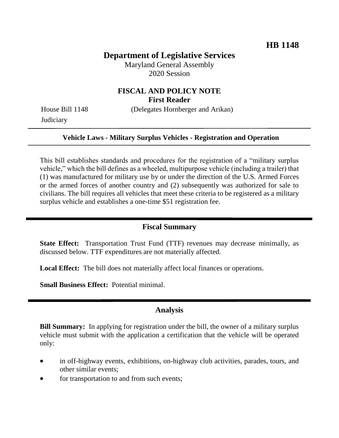# **Department of Legislative Services**

Maryland General Assembly 2020 Session

# **FISCAL AND POLICY NOTE First Reader**

House Bill 1148 (Delegates Hornberger and Arikan) **Judiciary** 

### **Vehicle Laws - Military Surplus Vehicles - Registration and Operation**

This bill establishes standards and procedures for the registration of a "military surplus vehicle," which the bill defines as a wheeled, multipurpose vehicle (including a trailer) that (1) was manufactured for military use by or under the direction of the U.S. Armed Forces or the armed forces of another country and (2) subsequently was authorized for sale to civilians. The bill requires all vehicles that meet these criteria to be registered as a military surplus vehicle and establishes a one-time \$51 registration fee.

## **Fiscal Summary**

**State Effect:** Transportation Trust Fund (TTF) revenues may decrease minimally, as discussed below. TTF expenditures are not materially affected.

**Local Effect:** The bill does not materially affect local finances or operations.

**Small Business Effect:** Potential minimal.

### **Analysis**

**Bill Summary:** In applying for registration under the bill, the owner of a military surplus vehicle must submit with the application a certification that the vehicle will be operated only:

- in off-highway events, exhibitions, on-highway club activities, parades, tours, and other similar events;
- for transportation to and from such events;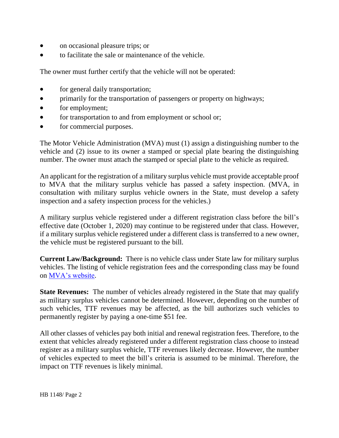- on occasional pleasure trips; or
- to facilitate the sale or maintenance of the vehicle.

The owner must further certify that the vehicle will not be operated:

- for general daily transportation;
- primarily for the transportation of passengers or property on highways;
- for employment;
- for transportation to and from employment or school or;
- for commercial purposes.

The Motor Vehicle Administration (MVA) must (1) assign a distinguishing number to the vehicle and (2) issue to its owner a stamped or special plate bearing the distinguishing number. The owner must attach the stamped or special plate to the vehicle as required.

An applicant for the registration of a military surplus vehicle must provide acceptable proof to MVA that the military surplus vehicle has passed a safety inspection. (MVA, in consultation with military surplus vehicle owners in the State, must develop a safety inspection and a safety inspection process for the vehicles.)

A military surplus vehicle registered under a different registration class before the bill's effective date (October 1, 2020) may continue to be registered under that class. However, if a military surplus vehicle registered under a different class is transferred to a new owner, the vehicle must be registered pursuant to the bill.

**Current Law/Background:** There is no vehicle class under State law for military surplus vehicles. The listing of vehicle registration fees and the corresponding class may be found on [MVA's website.](http://www.mva.maryland.gov/vehicles/registration/fees.htm)

**State Revenues:** The number of vehicles already registered in the State that may qualify as military surplus vehicles cannot be determined. However, depending on the number of such vehicles, TTF revenues may be affected, as the bill authorizes such vehicles to permanently register by paying a one-time \$51 fee.

All other classes of vehicles pay both initial and renewal registration fees. Therefore, to the extent that vehicles already registered under a different registration class choose to instead register as a military surplus vehicle, TTF revenues likely decrease. However, the number of vehicles expected to meet the bill's criteria is assumed to be minimal. Therefore, the impact on TTF revenues is likely minimal.